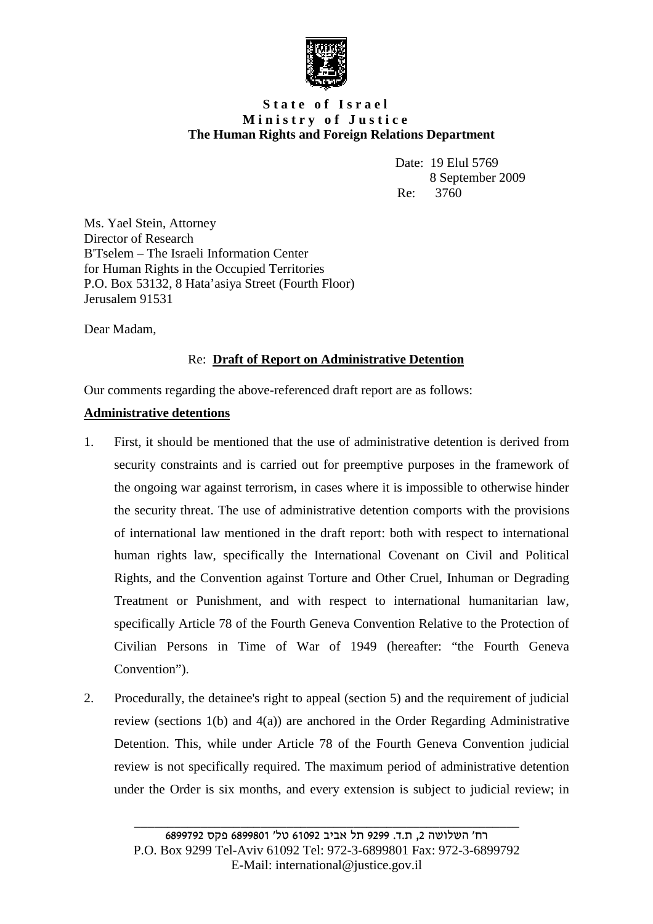

## **S t a t e o f I s r a e l M i n i s t r y o f J u s t i c e The Human Rights and Foreign Relations Department**

Date: 19 Elul 5769 8 September 2009 Re: 3760

Ms. Yael Stein, Attorney Director of Research B'Tselem – The Israeli Information Center for Human Rights in the Occupied Territories P.O. Box 53132, 8 Hata'asiya Street (Fourth Floor) Jerusalem 91531

Dear Madam,

# Re: **Draft of Report on Administrative Detention**

Our comments regarding the above-referenced draft report are as follows:

## **Administrative detentions**

- 1. First, it should be mentioned that the use of administrative detention is derived from security constraints and is carried out for preemptive purposes in the framework of the ongoing war against terrorism, in cases where it is impossible to otherwise hinder the security threat. The use of administrative detention comports with the provisions of international law mentioned in the draft report: both with respect to international human rights law, specifically the International Covenant on Civil and Political Rights, and the Convention against Torture and Other Cruel, Inhuman or Degrading Treatment or Punishment, and with respect to international humanitarian law, specifically Article 78 of the Fourth Geneva Convention Relative to the Protection of Civilian Persons in Time of War of 1949 (hereafter: "the Fourth Geneva Convention").
- 2. Procedurally, the detainee's right to appeal (section 5) and the requirement of judicial review (sections 1(b) and 4(a)) are anchored in the Order Regarding Administrative Detention. This, while under Article 78 of the Fourth Geneva Convention judicial review is not specifically required. The maximum period of administrative detention under the Order is six months, and every extension is subject to judicial review; in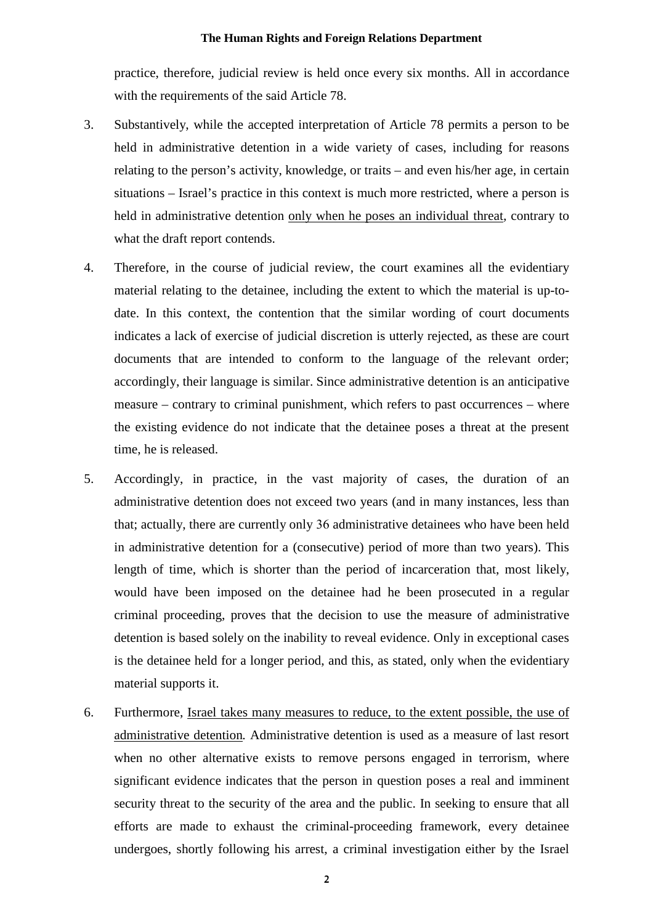practice, therefore, judicial review is held once every six months. All in accordance with the requirements of the said Article 78.

- 3. Substantively, while the accepted interpretation of Article 78 permits a person to be held in administrative detention in a wide variety of cases, including for reasons relating to the person's activity, knowledge, or traits – and even his/her age, in certain situations – Israel's practice in this context is much more restricted, where a person is held in administrative detention only when he poses an individual threat*,* contrary to what the draft report contends.
- 4. Therefore, in the course of judicial review, the court examines all the evidentiary material relating to the detainee, including the extent to which the material is up-todate. In this context, the contention that the similar wording of court documents indicates a lack of exercise of judicial discretion is utterly rejected, as these are court documents that are intended to conform to the language of the relevant order; accordingly, their language is similar. Since administrative detention is an anticipative measure – contrary to criminal punishment, which refers to past occurrences – where the existing evidence do not indicate that the detainee poses a threat at the present time, he is released.
- 5. Accordingly, in practice, in the vast majority of cases, the duration of an administrative detention does not exceed two years (and in many instances, less than that; actually, there are currently only 36 administrative detainees who have been held in administrative detention for a (consecutive) period of more than two years). This length of time, which is shorter than the period of incarceration that, most likely, would have been imposed on the detainee had he been prosecuted in a regular criminal proceeding, proves that the decision to use the measure of administrative detention is based solely on the inability to reveal evidence. Only in exceptional cases is the detainee held for a longer period, and this, as stated, only when the evidentiary material supports it.
- 6. Furthermore, Israel takes many measures to reduce, to the extent possible, the use of administrative detention*.* Administrative detention is used as a measure of last resort when no other alternative exists to remove persons engaged in terrorism, where significant evidence indicates that the person in question poses a real and imminent security threat to the security of the area and the public. In seeking to ensure that all efforts are made to exhaust the criminal-proceeding framework, every detainee undergoes, shortly following his arrest, a criminal investigation either by the Israel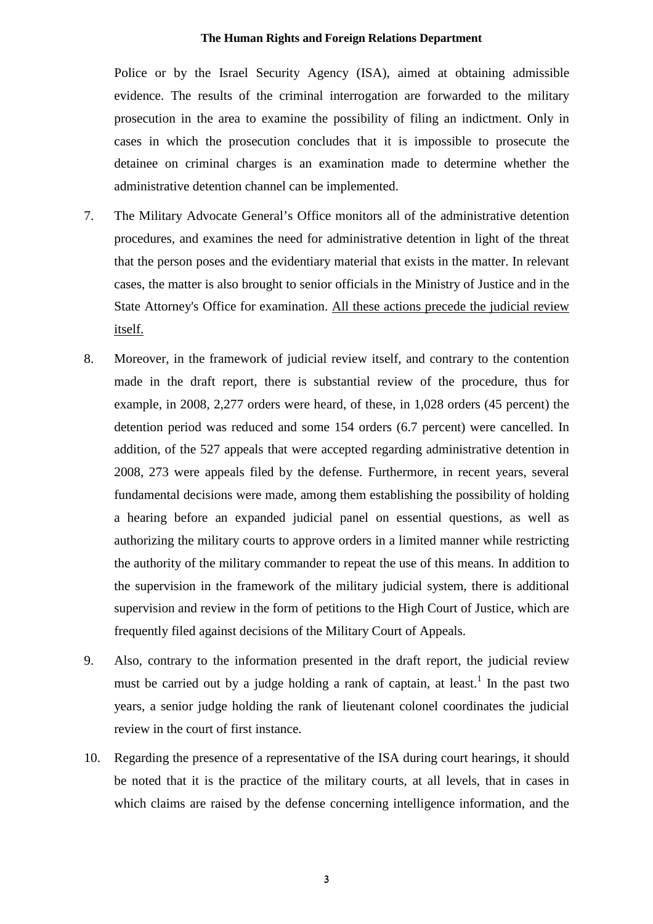Police or by the Israel Security Agency (ISA), aimed at obtaining admissible evidence. The results of the criminal interrogation are forwarded to the military prosecution in the area to examine the possibility of filing an indictment. Only in cases in which the prosecution concludes that it is impossible to prosecute the detainee on criminal charges is an examination made to determine whether the administrative detention channel can be implemented.

- 7. The Military Advocate General's Office monitors all of the administrative detention procedures, and examines the need for administrative detention in light of the threat that the person poses and the evidentiary material that exists in the matter. In relevant cases, the matter is also brought to senior officials in the Ministry of Justice and in the State Attorney's Office for examination. All these actions precede the judicial review itself.
- 8. Moreover, in the framework of judicial review itself, and contrary to the contention made in the draft report, there is substantial review of the procedure, thus for example, in 2008, 2,277 orders were heard, of these, in 1,028 orders (45 percent) the detention period was reduced and some 154 orders (6.7 percent) were cancelled. In addition, of the 527 appeals that were accepted regarding administrative detention in 2008, 273 were appeals filed by the defense. Furthermore, in recent years, several fundamental decisions were made, among them establishing the possibility of holding a hearing before an expanded judicial panel on essential questions, as well as authorizing the military courts to approve orders in a limited manner while restricting the authority of the military commander to repeat the use of this means. In addition to the supervision in the framework of the military judicial system, there is additional supervision and review in the form of petitions to the High Court of Justice, which are frequently filed against decisions of the Military Court of Appeals.
- 9. Also, contrary to the information presented in the draft report, the judicial review must be carried out by a judge holding a rank of captain, at least.<sup>1</sup> In the past two years, a senior judge holding the rank of lieutenant colonel coordinates the judicial review in the court of first instance.
- 10. Regarding the presence of a representative of the ISA during court hearings, it should be noted that it is the practice of the military courts, at all levels, that in cases in which claims are raised by the defense concerning intelligence information, and the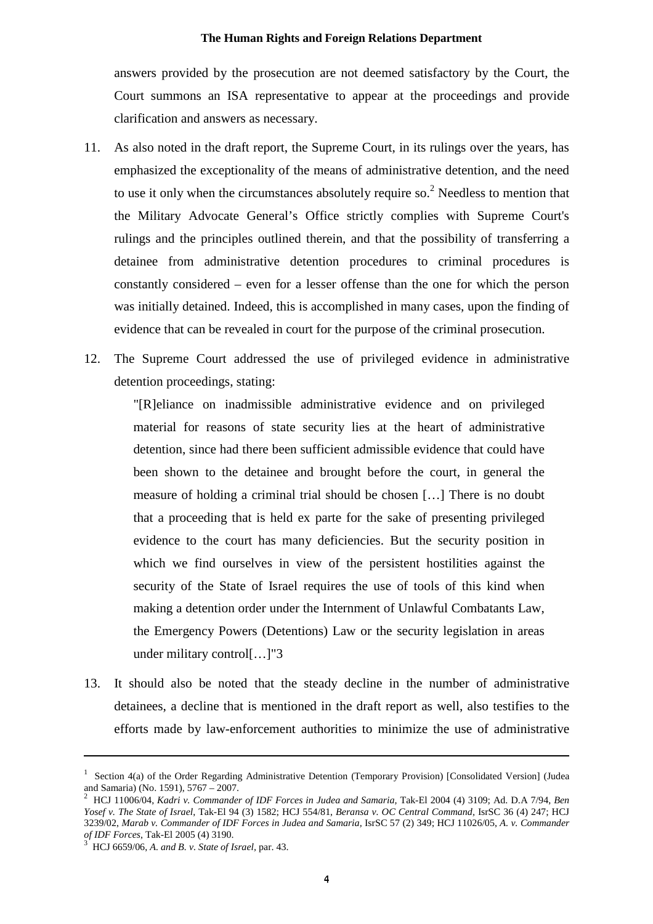answers provided by the prosecution are not deemed satisfactory by the Court, the Court summons an ISA representative to appear at the proceedings and provide clarification and answers as necessary.

- 11. As also noted in the draft report, the Supreme Court, in its rulings over the years, has emphasized the exceptionality of the means of administrative detention, and the need to use it only when the circumstances absolutely require so.<sup>2</sup> Needless to mention that the Military Advocate General's Office strictly complies with Supreme Court's rulings and the principles outlined therein, and that the possibility of transferring a detainee from administrative detention procedures to criminal procedures is constantly considered – even for a lesser offense than the one for which the person was initially detained. Indeed, this is accomplished in many cases, upon the finding of evidence that can be revealed in court for the purpose of the criminal prosecution.
- 12. The Supreme Court addressed the use of privileged evidence in administrative detention proceedings, stating:

"[R]eliance on inadmissible administrative evidence and on privileged material for reasons of state security lies at the heart of administrative detention, since had there been sufficient admissible evidence that could have been shown to the detainee and brought before the court, in general the measure of holding a criminal trial should be chosen […] There is no doubt that a proceeding that is held ex parte for the sake of presenting privileged evidence to the court has many deficiencies. But the security position in which we find ourselves in view of the persistent hostilities against the security of the State of Israel requires the use of tools of this kind when making a detention order under the Internment of Unlawful Combatants Law, the Emergency Powers (Detentions) Law or the security legislation in areas under military control[…]"3

13. It should also be noted that the steady decline in the number of administrative detainees, a decline that is mentioned in the draft report as well, also testifies to the efforts made by law-enforcement authorities to minimize the use of administrative

<sup>&</sup>lt;sup>1</sup> Section 4(a) of the Order Regarding Administrative Detention (Temporary Provision) [Consolidated Version] (Judea and Samaria) (No. 1591), 5767 – 2007.<br>
<sup>2</sup> HCJ 11006/04, *Kadri v. Commander of IDF Forces in Judea and Samaria*. Tak-El 2004 (4) 3109: Ad. D.A 7/94, *Ben* 

*Yosef v. The State of Israel*, Tak-El 94 (3) 1582; HCJ 554/81, *Beransa v. OC Central Command,* IsrSC 36 (4) 247; HCJ 3239/02, *Marab v. Commander of IDF Forces in Judea and Samaria,* IsrSC 57 (2) 349; HCJ 11026/05, *A. v. Commander*

*HCJ* 6659/06, *A. and B. v. State of Israel, par.* 43.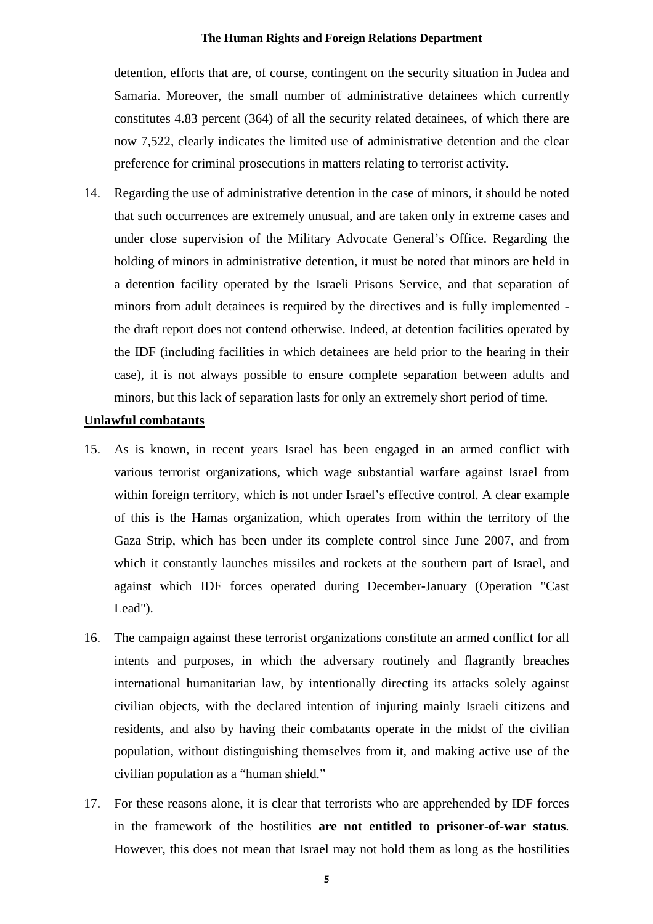detention, efforts that are, of course, contingent on the security situation in Judea and Samaria. Moreover, the small number of administrative detainees which currently constitutes 4.83 percent (364) of all the security related detainees, of which there are now 7,522, clearly indicates the limited use of administrative detention and the clear preference for criminal prosecutions in matters relating to terrorist activity.

14. Regarding the use of administrative detention in the case of minors, it should be noted that such occurrences are extremely unusual, and are taken only in extreme cases and under close supervision of the Military Advocate General's Office. Regarding the holding of minors in administrative detention, it must be noted that minors are held in a detention facility operated by the Israeli Prisons Service, and that separation of minors from adult detainees is required by the directives and is fully implemented the draft report does not contend otherwise. Indeed, at detention facilities operated by the IDF (including facilities in which detainees are held prior to the hearing in their case), it is not always possible to ensure complete separation between adults and minors, but this lack of separation lasts for only an extremely short period of time.

### **Unlawful combatants**

- 15. As is known, in recent years Israel has been engaged in an armed conflict with various terrorist organizations, which wage substantial warfare against Israel from within foreign territory, which is not under Israel's effective control. A clear example of this is the Hamas organization, which operates from within the territory of the Gaza Strip, which has been under its complete control since June 2007, and from which it constantly launches missiles and rockets at the southern part of Israel, and against which IDF forces operated during December-January (Operation "Cast Lead").
- 16. The campaign against these terrorist organizations constitute an armed conflict for all intents and purposes, in which the adversary routinely and flagrantly breaches international humanitarian law, by intentionally directing its attacks solely against civilian objects, with the declared intention of injuring mainly Israeli citizens and residents, and also by having their combatants operate in the midst of the civilian population, without distinguishing themselves from it, and making active use of the civilian population as a "human shield."
- 17. For these reasons alone, it is clear that terrorists who are apprehended by IDF forces in the framework of the hostilities **are not entitled to prisoner-of-war status***.* However, this does not mean that Israel may not hold them as long as the hostilities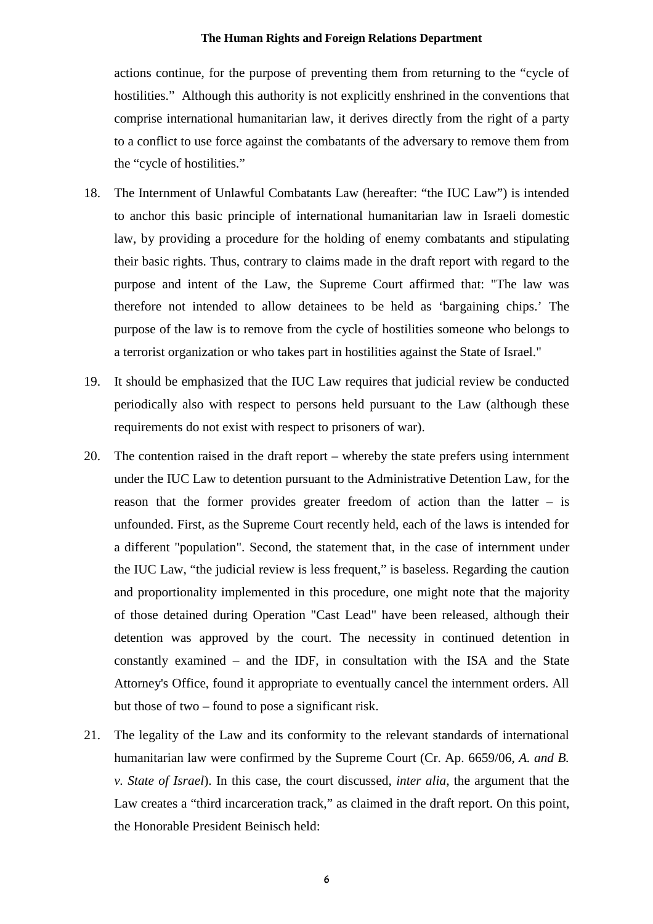actions continue, for the purpose of preventing them from returning to the "cycle of hostilities." Although this authority is not explicitly enshrined in the conventions that comprise international humanitarian law, it derives directly from the right of a party to a conflict to use force against the combatants of the adversary to remove them from the "cycle of hostilities."

- 18. The Internment of Unlawful Combatants Law (hereafter: "the IUC Law") is intended to anchor this basic principle of international humanitarian law in Israeli domestic law, by providing a procedure for the holding of enemy combatants and stipulating their basic rights. Thus, contrary to claims made in the draft report with regard to the purpose and intent of the Law, the Supreme Court affirmed that: "The law was therefore not intended to allow detainees to be held as 'bargaining chips.' The purpose of the law is to remove from the cycle of hostilities someone who belongs to a terrorist organization or who takes part in hostilities against the State of Israel."
- 19. It should be emphasized that the IUC Law requires that judicial review be conducted periodically also with respect to persons held pursuant to the Law (although these requirements do not exist with respect to prisoners of war).
- 20. The contention raised in the draft report whereby the state prefers using internment under the IUC Law to detention pursuant to the Administrative Detention Law, for the reason that the former provides greater freedom of action than the latter – is unfounded. First, as the Supreme Court recently held, each of the laws is intended for a different "population". Second, the statement that, in the case of internment under the IUC Law, "the judicial review is less frequent," is baseless. Regarding the caution and proportionality implemented in this procedure, one might note that the majority of those detained during Operation "Cast Lead" have been released, although their detention was approved by the court. The necessity in continued detention in constantly examined – and the IDF, in consultation with the ISA and the State Attorney's Office, found it appropriate to eventually cancel the internment orders. All but those of two – found to pose a significant risk.
- 21. The legality of the Law and its conformity to the relevant standards of international humanitarian law were confirmed by the Supreme Court (Cr. Ap. 6659/06, *A. and B. v. State of Israel*). In this case, the court discussed, *inter alia*, the argument that the Law creates a "third incarceration track," as claimed in the draft report. On this point, the Honorable President Beinisch held: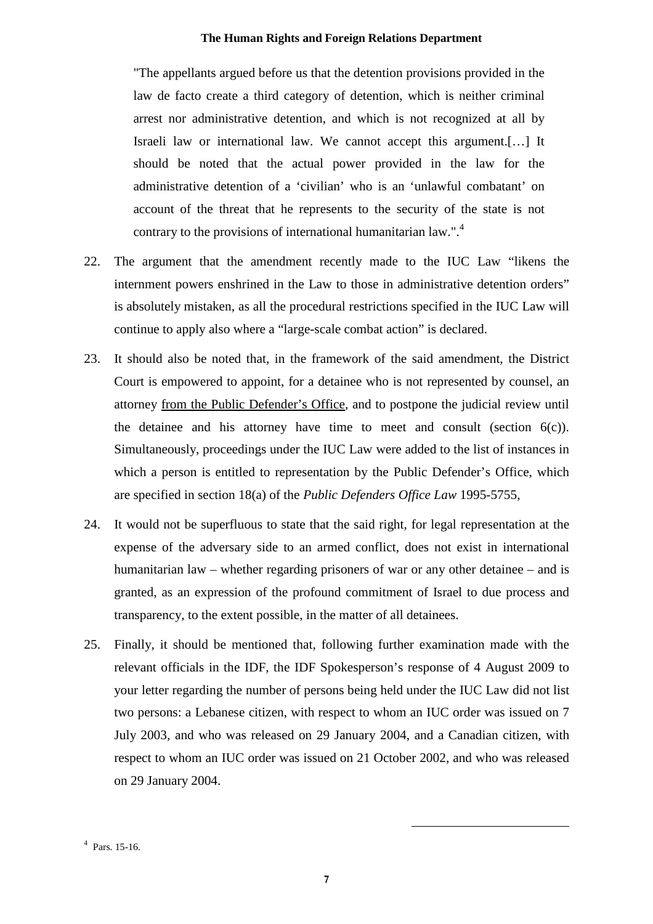"The appellants argued before us that the detention provisions provided in the law de facto create a third category of detention, which is neither criminal arrest nor administrative detention, and which is not recognized at all by Israeli law or international law. We cannot accept this argument.[…] It should be noted that the actual power provided in the law for the administrative detention of a 'civilian' who is an 'unlawful combatant' on account of the threat that he represents to the security of the state is not contrary to the provisions of international humanitarian law.".<sup>4</sup>

- 22. The argument that the amendment recently made to the IUC Law "likens the internment powers enshrined in the Law to those in administrative detention orders" is absolutely mistaken, as all the procedural restrictions specified in the IUC Law will continue to apply also where a "large-scale combat action" is declared.
- 23. It should also be noted that, in the framework of the said amendment, the District Court is empowered to appoint, for a detainee who is not represented by counsel, an attorney from the Public Defender's Office*,* and to postpone the judicial review until the detainee and his attorney have time to meet and consult (section  $6(c)$ ). Simultaneously, proceedings under the IUC Law were added to the list of instances in which a person is entitled to representation by the Public Defender's Office, which are specified in section 18(a) of the *Public Defenders Office Law* 1995-5755,
- 24. It would not be superfluous to state that the said right, for legal representation at the expense of the adversary side to an armed conflict, does not exist in international humanitarian law – whether regarding prisoners of war or any other detainee – and is granted, as an expression of the profound commitment of Israel to due process and transparency, to the extent possible, in the matter of all detainees.
- 25. Finally, it should be mentioned that, following further examination made with the relevant officials in the IDF, the IDF Spokesperson's response of 4 August 2009 to your letter regarding the number of persons being held under the IUC Law did not list two persons: a Lebanese citizen, with respect to whom an IUC order was issued on 7 July 2003, and who was released on 29 January 2004, and a Canadian citizen, with respect to whom an IUC order was issued on 21 October 2002, and who was released on 29 January 2004.